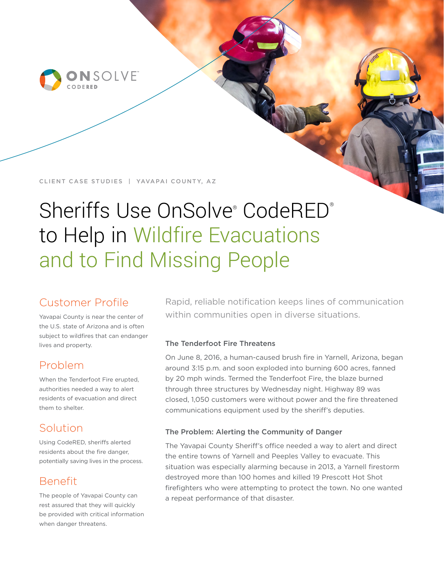

### CLIENT CASE STUDIES | YAVAPAI COUNTY, AZ

# Sheriffs Use OnSolve® CodeRED® to Help in Wildfire Evacuations and to Find Missing People

# Customer Profile

Yavapai County is near the center of the U.S. state of Arizona and is often subject to wildfires that can endanger lives and property.

## Problem

When the Tenderfoot Fire erupted, authorities needed a way to alert residents of evacuation and direct them to shelter.

# Solution

Using CodeRED, sheriffs alerted residents about the fire danger, potentially saving lives in the process.

# Benefit

The people of Yavapai County can rest assured that they will quickly be provided with critical information when danger threatens.

Rapid, reliable notification keeps lines of communication within communities open in diverse situations.

## The Tenderfoot Fire Threatens

On June 8, 2016, a human-caused brush fire in Yarnell, Arizona, began around 3:15 p.m. and soon exploded into burning 600 acres, fanned by 20 mph winds. Termed the Tenderfoot Fire, the blaze burned through three structures by Wednesday night. Highway 89 was closed, 1,050 customers were without power and the fire threatened communications equipment used by the sheriff's deputies.

## The Problem: Alerting the Community of Danger

The Yavapai County Sheriff's office needed a way to alert and direct the entire towns of Yarnell and Peeples Valley to evacuate. This situation was especially alarming because in 2013, a Yarnell firestorm destroyed more than 100 homes and killed 19 Prescott Hot Shot firefighters who were attempting to protect the town. No one wanted a repeat performance of that disaster.